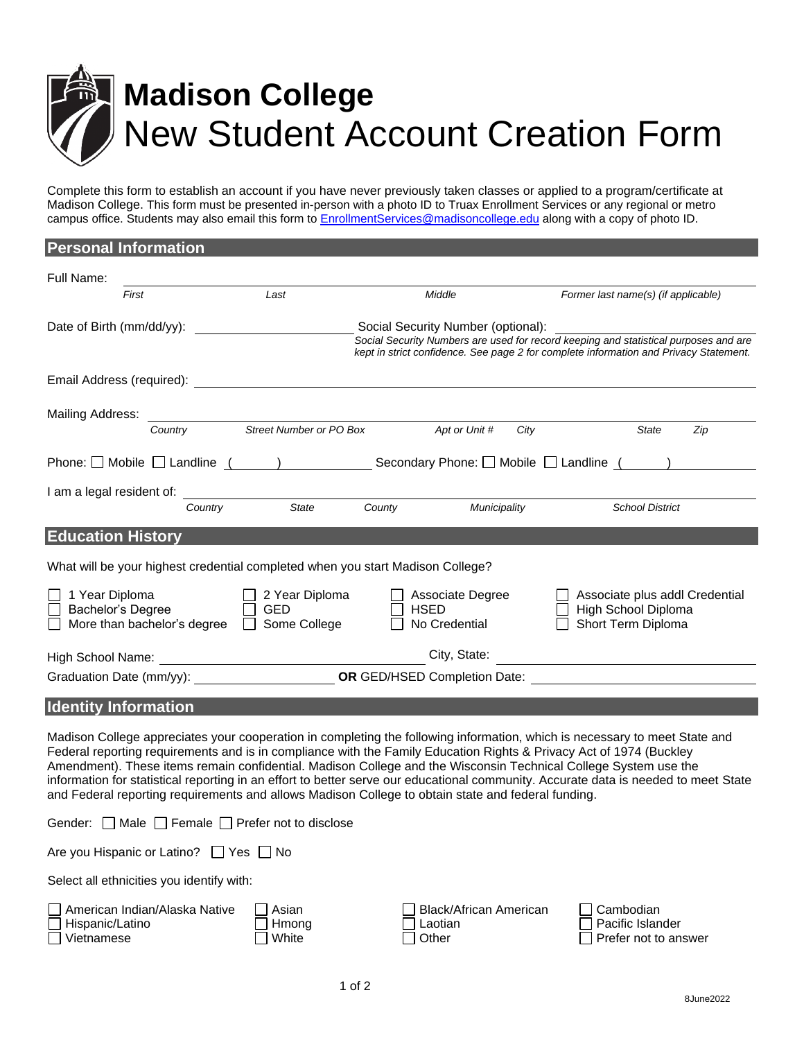

Complete this form to establish an account if you have never previously taken classes or applied to a program/certificate at Madison College. This form must be presented in-person with a photo ID to Truax Enrollment Services or any regional or metro campus office. Students may also email this form to [EnrollmentServices@madisoncollege.edu](mailto:enrollmentservices@madisoncollege.edu) along with a copy of photo ID.

| <b>Personal Information</b>                                                                         |                                              |                                                  |                                                                                                                                                                               |
|-----------------------------------------------------------------------------------------------------|----------------------------------------------|--------------------------------------------------|-------------------------------------------------------------------------------------------------------------------------------------------------------------------------------|
| Full Name:                                                                                          |                                              |                                                  |                                                                                                                                                                               |
| First                                                                                               | Last                                         | Middle                                           | Former last name(s) (if applicable)                                                                                                                                           |
| Date of Birth (mm/dd/yy):                                                                           |                                              | Social Security Number (optional):               | Social Security Numbers are used for record keeping and statistical purposes and are<br>kept in strict confidence. See page 2 for complete information and Privacy Statement. |
|                                                                                                     |                                              |                                                  |                                                                                                                                                                               |
| Mailing Address:                                                                                    | <b>Country</b> Street Number or PO Box       | Apt or Unit #                                    | City<br><b>State</b><br>Zip                                                                                                                                                   |
| Phone: $\Box$ Mobile $\Box$ Landline $($ $)$ Secondary Phone: $\Box$ Mobile $\Box$ Landline $($ $)$ |                                              |                                                  |                                                                                                                                                                               |
| I am a legal resident of: Country State County                                                      |                                              | Municipality                                     | <b>School District</b>                                                                                                                                                        |
|                                                                                                     |                                              |                                                  |                                                                                                                                                                               |
| <b>Education History</b>                                                                            |                                              |                                                  |                                                                                                                                                                               |
| What will be your highest credential completed when you start Madison College?                      |                                              |                                                  |                                                                                                                                                                               |
| 1 Year Diploma<br>Bachelor's Degree<br>More than bachelor's degree                                  | 2 Year Diploma<br><b>GED</b><br>Some College | Associate Degree<br><b>HSED</b><br>No Credential | Associate plus addl Credential<br>High School Diploma<br>Short Term Diploma                                                                                                   |
|                                                                                                     |                                              | City, State:                                     |                                                                                                                                                                               |
|                                                                                                     |                                              |                                                  | Graduation Date (mm/yy): CR GED/HSED Completion Date:                                                                                                                         |
| <b>Identity Information</b>                                                                         |                                              |                                                  |                                                                                                                                                                               |

Madison College appreciates your cooperation in completing the following information, which is necessary to meet State and Federal reporting requirements and is in compliance with the Family Education Rights & Privacy Act of 1974 (Buckley Amendment). These items remain confidential. Madison College and the Wisconsin Technical College System use the information for statistical reporting in an effort to better serve our educational community. Accurate data is needed to meet State and Federal reporting requirements and allows Madison College to obtain state and federal funding.

|  |  | Gender: $\Box$ Male $\Box$ Female $\Box$ Prefer not to disclose |  |  |  |
|--|--|-----------------------------------------------------------------|--|--|--|
|--|--|-----------------------------------------------------------------|--|--|--|

| Are you Hispanic or Latino? □ Yes □ No |
|----------------------------------------|
|----------------------------------------|

Select all ethnicities you identify with:

| American Indian/Alaska Native | <b>□ Asiar</b> |
|-------------------------------|----------------|
| □ Hispanic/Latino             | $\Box$ Hmo     |
| $\Box$ Vietnamese             | $\Box$ White   |

|    | Black/African American | $\Box$ Cambodian            |
|----|------------------------|-----------------------------|
| na | □ Laotian              | □ Pacific Islander          |
|    | $\Box$ Other           | $\Box$ Prefer not to answer |